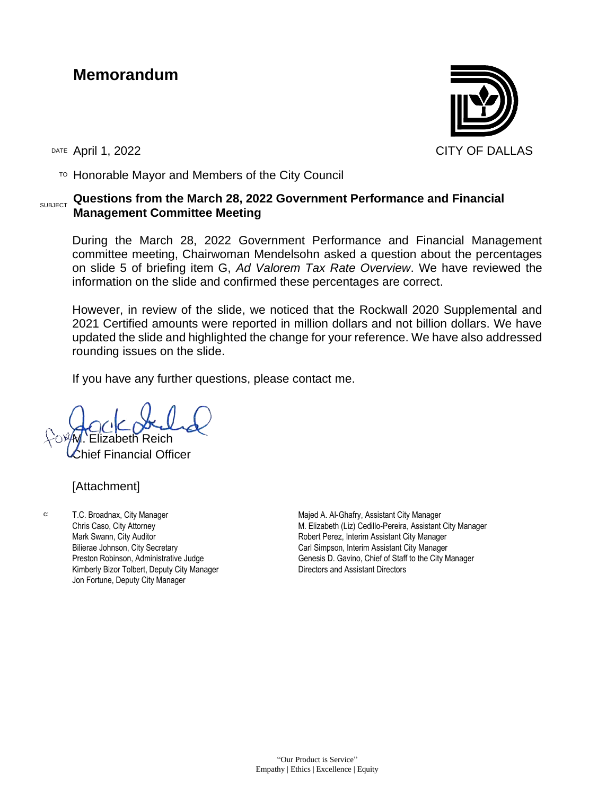## **Memorandum**



 $T$ <sup>O</sup> Honorable Mayor and Members of the City Council

## SUBJECT **Questions from the March 28, 2022 Government Performance and Financial Management Committee Meeting**

During the March 28, 2022 Government Performance and Financial Management committee meeting, Chairwoman Mendelsohn asked a question about the percentages on slide 5 of briefing item G, *Ad Valorem Tax Rate Overview*. We have reviewed the information on the slide and confirmed these percentages are correct.

However, in review of the slide, we noticed that the Rockwall 2020 Supplemental and 2021 Certified amounts were reported in million dollars and not billion dollars. We have updated the slide and highlighted the change for your reference. We have also addressed rounding issues on the slide.

If you have any further questions, please contact me.

M∴Elizabeth Reich

ef Financial Officer

[Attachment]

c: T.C. Broadnax, City Manager Chris Caso, City Attorney Mark Swann, City Auditor Bilierae Johnson, City Secretary Preston Robinson, Administrative Judge Kimberly Bizor Tolbert, Deputy City Manager Jon Fortune, Deputy City Manager

Majed A. Al-Ghafry, Assistant City Manager M. Elizabeth (Liz) Cedillo-Pereira, Assistant City Manager Robert Perez, Interim Assistant City Manager Carl Simpson, Interim Assistant City Manager Genesis D. Gavino, Chief of Staff to the City Manager Directors and Assistant Directors